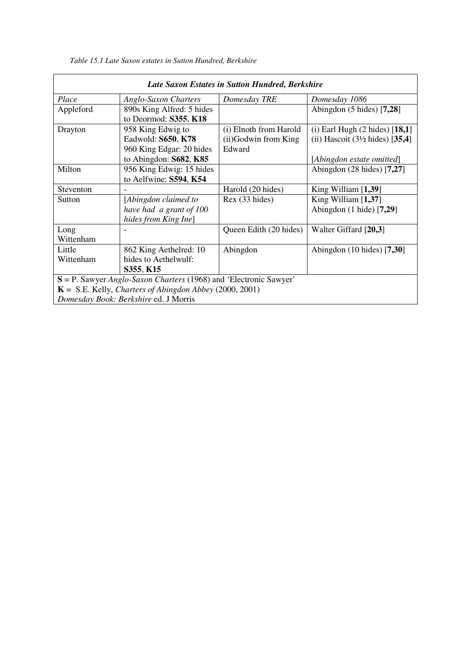| Late Saxon Estates in Sutton Hundred, Berkshire                             |                             |                        |                                            |  |  |  |  |
|-----------------------------------------------------------------------------|-----------------------------|------------------------|--------------------------------------------|--|--|--|--|
| Place                                                                       | <b>Anglo-Saxon Charters</b> | Domesday TRE           | Domesday 1086                              |  |  |  |  |
| Appleford                                                                   | 890s King Alfred: 5 hides   |                        | Abingdon $(5 \text{ hides})$ [7,28]        |  |  |  |  |
|                                                                             | to Deormod: S355, K18       |                        |                                            |  |  |  |  |
| Drayton                                                                     | 958 King Edwig to           | (i) Elnoth from Harold | $(i)$ Earl Hugh $(2 \text{ hides})$ [18,1] |  |  |  |  |
|                                                                             | Eadwold: S650, K78          | (ii) Godwin from King  | (ii) Hascoit $(3\frac{1}{2}$ hides) [35,4] |  |  |  |  |
|                                                                             | 960 King Edgar: 20 hides    | Edward                 |                                            |  |  |  |  |
|                                                                             | to Abingdon: $S682$ , $K85$ |                        | [Abingdon estate omitted]                  |  |  |  |  |
| Milton                                                                      | 956 King Edwig: 15 hides    |                        | Abingdon $(28 \text{ hides})$ [7,27]       |  |  |  |  |
|                                                                             | to Aelfwine: S594, K54      |                        |                                            |  |  |  |  |
| Steventon                                                                   |                             | Harold (20 hides)      | King William $[1,39]$                      |  |  |  |  |
| Sutton                                                                      | [Abingdon claimed to        | Rex (33 hides)         | King William $[1,37]$                      |  |  |  |  |
|                                                                             | have had a grant of 100     |                        | Abingdon $(1 \text{ hide})$ [7,29]         |  |  |  |  |
|                                                                             | hides from King Ine]        |                        |                                            |  |  |  |  |
| Long                                                                        |                             | Queen Edith (20 hides) | Walter Giffard [20,3]                      |  |  |  |  |
| Wittenham                                                                   |                             |                        |                                            |  |  |  |  |
| Little                                                                      | 862 King Aethelred: 10      | Abingdon               | Abingdon $(10 \text{ hides})$ [7,30]       |  |  |  |  |
| Wittenham                                                                   | hides to Aethelwulf:        |                        |                                            |  |  |  |  |
|                                                                             | S355, K15                   |                        |                                            |  |  |  |  |
| $S = P$ . Sawyer <i>Anglo-Saxon Charters</i> (1968) and 'Electronic Sawyer' |                             |                        |                                            |  |  |  |  |
| $K = S.E.$ Kelly, <i>Charters of Abingdon Abbey</i> (2000, 2001)            |                             |                        |                                            |  |  |  |  |
| Domesday Book: Berkshire ed. J Morris                                       |                             |                        |                                            |  |  |  |  |

*Table 15.1 Late Saxon estates in Sutton Hundred, Berkshire*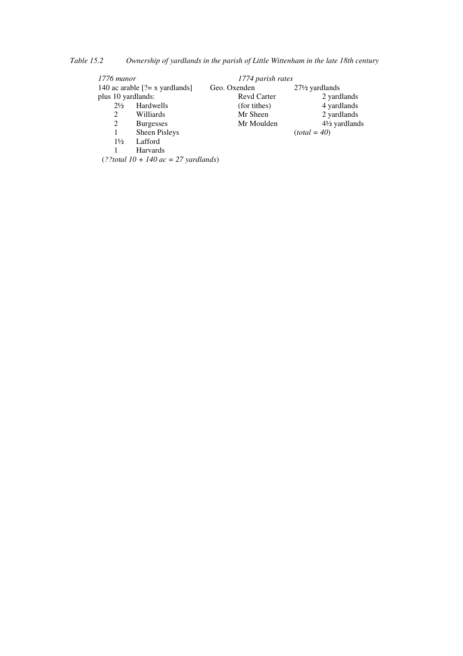*Table 15.2 Ownership of yardlands in the parish of Little Wittenham in the late 18th century* 

| 1776 manor                        |                              | 1774 parish rates  |                           |  |
|-----------------------------------|------------------------------|--------------------|---------------------------|--|
| 140 ac arable $[? = x$ yardlands] |                              | Geo. Oxenden       | $27\frac{1}{2}$ yardlands |  |
| plus 10 yardlands:                |                              | <b>Revd Carter</b> | 2 yardlands               |  |
| $2\frac{1}{2}$                    | Hardwells                    | (for tithes)       | 4 yardlands               |  |
| 2                                 | Williards                    | Mr Sheen           | 2 yardlands               |  |
| 2                                 | <b>Burgesses</b>             | Mr Moulden         | $4\frac{1}{2}$ yardlands  |  |
| 1                                 | Sheen Pisleys                |                    | $(total = 40)$            |  |
| $1\frac{1}{2}$                    | Lafford                      |                    |                           |  |
|                                   | Harvards                     |                    |                           |  |
|                                   | $(99.110.140.77 \cdot 11.1)$ |                    |                           |  |

(*??total 10 + 140 ac = 27 yardlands*)